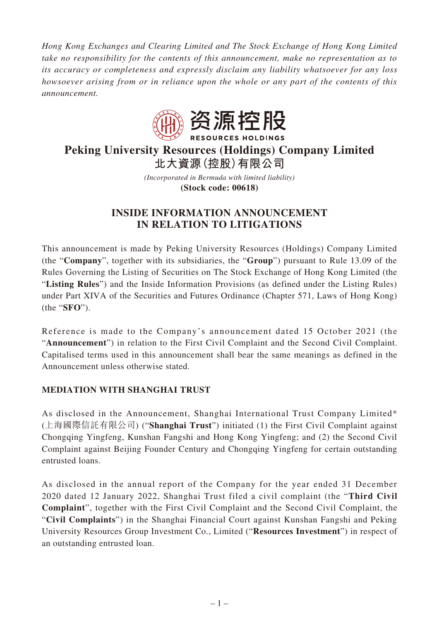*Hong Kong Exchanges and Clearing Limited and The Stock Exchange of Hong Kong Limited take no responsibility for the contents of this announcement, make no representation as to its accuracy or completeness and expressly disclaim any liability whatsoever for any loss howsoever arising from or in reliance upon the whole or any part of the contents of this announcement.*



# **Peking University Resources (Holdings) Company Limited 北大資源(控股)有限公司**

*(Incorporated in Bermuda with limited liability)* **(Stock code: 00618)**

# **INSIDE INFORMATION ANNOUNCEMENT IN RELATION TO LITIGATIONS**

This announcement is made by Peking University Resources (Holdings) Company Limited (the "**Company**", together with its subsidiaries, the "**Group**") pursuant to Rule 13.09 of the Rules Governing the Listing of Securities on The Stock Exchange of Hong Kong Limited (the "**Listing Rules**") and the Inside Information Provisions (as defined under the Listing Rules) under Part XIVA of the Securities and Futures Ordinance (Chapter 571, Laws of Hong Kong) (the "**SFO**").

Reference is made to the Company's announcement dated 15 October 2021 (the "**Announcement**") in relation to the First Civil Complaint and the Second Civil Complaint. Capitalised terms used in this announcement shall bear the same meanings as defined in the Announcement unless otherwise stated.

## **MEDIATION WITH SHANGHAI TRUST**

As disclosed in the Announcement, Shanghai International Trust Company Limited\* (上海國際信託有限公司) ("**Shanghai Trust**") initiated (1) the First Civil Complaint against Chongqing Yingfeng, Kunshan Fangshi and Hong Kong Yingfeng; and (2) the Second Civil Complaint against Beijing Founder Century and Chongqing Yingfeng for certain outstanding entrusted loans.

As disclosed in the annual report of the Company for the year ended 31 December 2020 dated 12 January 2022, Shanghai Trust filed a civil complaint (the "**Third Civil Complaint**", together with the First Civil Complaint and the Second Civil Complaint, the "**Civil Complaints**") in the Shanghai Financial Court against Kunshan Fangshi and Peking University Resources Group Investment Co., Limited ("**Resources Investment**") in respect of an outstanding entrusted loan.